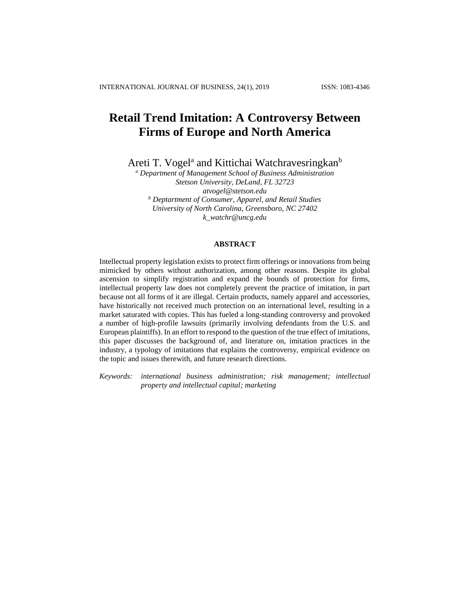# **Retail Trend Imitation: A Controversy Between Firms of Europe and North America**

Areti T. Vogel<sup>a</sup> and Kittichai Watchravesringkan<sup>b</sup>

*<sup>a</sup> Department of Management School of Business Administration Stetson University, DeLand, FL 32723 atvogel@stetson.edu <sup>b</sup> Deptartment of Consumer, Apparel, and Retail Studies University of North Carolina, Greensboro, NC 27402 k\_watchr@uncg.edu*

#### **ABSTRACT**

Intellectual property legislation exists to protect firm offerings or innovations from being mimicked by others without authorization, among other reasons. Despite its global ascension to simplify registration and expand the bounds of protection for firms, intellectual property law does not completely prevent the practice of imitation, in part because not all forms of it are illegal. Certain products, namely apparel and accessories, have historically not received much protection on an international level, resulting in a market saturated with copies. This has fueled a long-standing controversy and provoked a number of high-profile lawsuits (primarily involving defendants from the U.S. and European plaintiffs). In an effort to respond to the question of the true effect of imitations, this paper discusses the background of, and literature on, imitation practices in the industry, a typology of imitations that explains the controversy, empirical evidence on the topic and issues therewith, and future research directions.

*Keywords: international business administration; risk management; intellectual property and intellectual capital; marketing*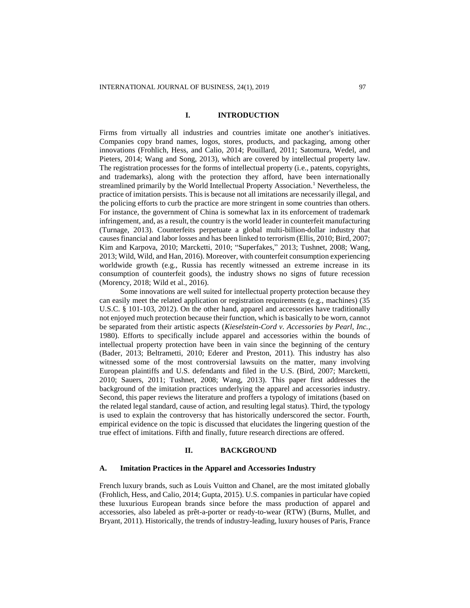## **I. INTRODUCTION**

Firms from virtually all industries and countries imitate one another's initiatives. Companies copy brand names, logos, stores, products, and packaging, among other innovations (Frohlich, Hess, and Calio, 2014; Pouillard, 2011; Satomura, Wedel, and Pieters, 2014; Wang and Song, 2013), which are covered by intellectual property law. The registration processes for the forms of intellectual property (i.e., patents, copyrights, and trademarks), along with the protection they afford, have been internationally streamlined primarily by the World Intellectual Property Association.<sup>1</sup> Nevertheless, the practice of imitation persists. This is because not all imitations are necessarily illegal, and the policing efforts to curb the practice are more stringent in some countries than others. For instance, the government of China is somewhat lax in its enforcement of trademark infringement, and, as a result, the country is the world leader in counterfeit manufacturing (Turnage, 2013). Counterfeits perpetuate a global multi-billion-dollar industry that causes financial and labor losses and has been linked to terrorism (Ellis, 2010; Bird, 2007; Kim and Karpova, 2010; Marcketti, 2010; "Superfakes," 2013; Tushnet, 2008; Wang, 2013; Wild, Wild, and Han, 2016). Moreover, with counterfeit consumption experiencing worldwide growth (e.g., Russia has recently witnessed an extreme increase in its consumption of counterfeit goods), the industry shows no signs of future recession (Morency, 2018; Wild et al., 2016).

Some innovations are well suited for intellectual property protection because they can easily meet the related application or registration requirements (e.g., machines) (35 U.S.C. § 101-103, 2012). On the other hand, apparel and accessories have traditionally not enjoyed much protection because their function, which is basically to be worn, cannot be separated from their artistic aspects (*Kieselstein-Cord v. Accessories by Pearl, Inc.*, 1980). Efforts to specifically include apparel and accessories within the bounds of intellectual property protection have been in vain since the beginning of the century [\(Bader,](http://www.civicimpulse.com/) 2013; Beltrametti, 2010; Ederer and Preston, 2011). This industry has also witnessed some of the most controversial lawsuits on the matter, many involving European plaintiffs and U.S. defendants and filed in the U.S. (Bird, 2007; Marcketti, 2010; Sauers, 2011; Tushnet, 2008; Wang, 2013). This paper first addresses the background of the imitation practices underlying the apparel and accessories industry. Second, this paper reviews the literature and proffers a typology of imitations (based on the related legal standard, cause of action, and resulting legal status). Third, the typology is used to explain the controversy that has historically underscored the sector. Fourth, empirical evidence on the topic is discussed that elucidates the lingering question of the true effect of imitations. Fifth and finally, future research directions are offered.

## **II. BACKGROUND**

## **A. Imitation Practices in the Apparel and Accessories Industry**

French luxury brands, such as Louis Vuitton and Chanel, are the most imitated globally (Frohlich, Hess, and Calio, 2014; Gupta, 2015). U.S. companies in particular have copied these luxurious European brands since before the mass production of apparel and accessories, also labeled as prêt-a-porter or ready-to-wear (RTW) (Burns, Mullet, and Bryant, 2011). Historically, the trends of industry-leading, luxury houses of Paris, France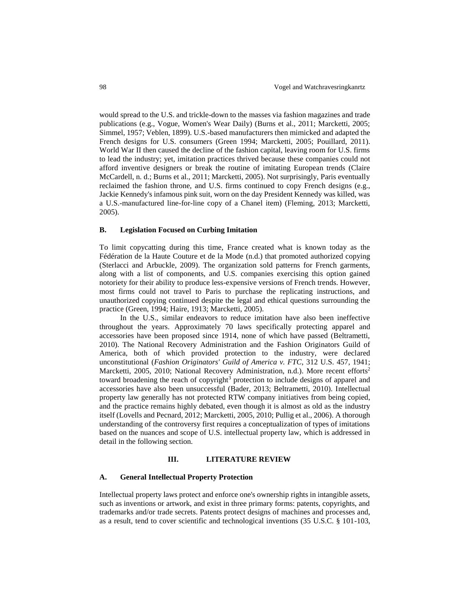would spread to the U.S. and trickle-down to the masses via fashion magazines and trade publications (e.g., Vogue, Women's Wear Daily) (Burns et al., 2011; Marcketti, 2005; Simmel, 1957; Veblen, 1899). U.S.-based manufacturers then mimicked and adapted the French designs for U.S. consumers (Green 1994; Marcketti, 2005; Pouillard, 2011). World War II then caused the decline of the fashion capital, leaving room for U.S. firms to lead the industry; yet, imitation practices thrived because these companies could not afford inventive designers or break the routine of imitating European trends (Claire McCardell, n. d.; Burns et al., 2011; Marcketti, 2005). Not surprisingly, Paris eventually reclaimed the fashion throne, and U.S. firms continued to copy French designs (e.g., Jackie Kennedy's infamous pink suit, worn on the day President Kennedy was killed, was a U.S.-manufactured line-for-line copy of a Chanel item) (Fleming, 2013; Marcketti, 2005).

#### **B. Legislation Focused on Curbing Imitation**

To limit copycatting during this time, France created what is known today as the Fédération de la Haute Couture et de la Mode (n.d.) that promoted authorized copying (Sterlacci and Arbuckle, 2009). The organization sold patterns for French garments, along with a list of components, and U.S. companies exercising this option gained notoriety for their ability to produce less-expensive versions of French trends. However, most firms could not travel to Paris to purchase the replicating instructions, and unauthorized copying continued despite the legal and ethical questions surrounding the practice (Green, 1994; Haire, 1913; Marcketti, 2005).

In the U.S., similar endeavors to reduce imitation have also been ineffective throughout the years. Approximately 70 laws specifically protecting apparel and accessories have been proposed since 1914, none of which have passed (Beltrametti, 2010). The National Recovery Administration and the Fashion Originators Guild of America, both of which provided protection to the industry, were declared unconstitutional (*Fashion Originators' Guild of America v. FTC*, 312 U.S. 457, 1941; Marcketti, 2005, 2010; National Recovery Administration, n.d.). More recent efforts<sup>2</sup> toward broadening the reach of copyright<sup>3</sup> protection to include designs of apparel and accessories have also been unsuccessful (Bader, 2013; Beltrametti, 2010). Intellectual property law generally has not protected RTW company initiatives from being copied, and the practice remains highly debated, even though it is almost as old as the industry itself (Lovells and Pecnard, 2012; Marcketti, 2005, 2010; Pullig et al., 2006). A thorough understanding of the controversy first requires a conceptualization of types of imitations based on the nuances and scope of U.S. intellectual property law, which is addressed in detail in the following section.

#### **III. LITERATURE REVIEW**

## **A. General Intellectual Property Protection**

Intellectual property laws protect and enforce one's ownership rights in intangible assets, such as inventions or artwork, and exist in three primary forms: patents, copyrights, and trademarks and/or trade secrets. Patents protect designs of machines and processes and, as a result, tend to cover scientific and technological inventions (35 U.S.C. § 101-103,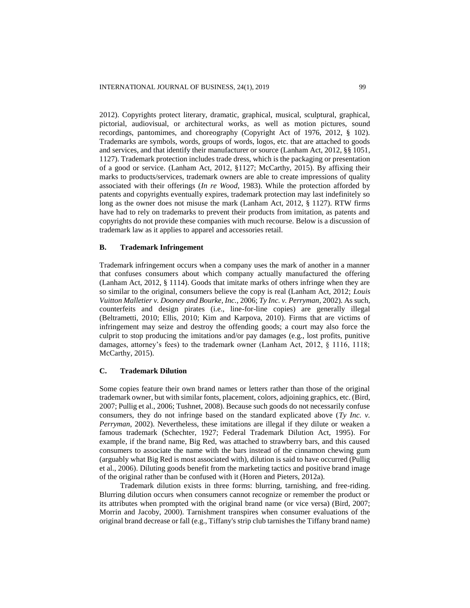2012). Copyrights protect literary, dramatic, graphical, musical, sculptural, graphical, pictorial, audiovisual, or architectural works, as well as motion pictures, sound recordings, pantomimes, and choreography (Copyright Act of 1976, 2012, § 102). Trademarks are symbols, words, groups of words, logos, etc. that are attached to goods and services, and that identify their manufacturer or source (Lanham Act, 2012, §§ 1051, 1127). Trademark protection includes trade dress, which is the packaging or presentation of a good or service. (Lanham Act, 2012, §1127; McCarthy, 2015). By affixing their marks to products/services, trademark owners are able to create impressions of quality associated with their offerings (*In re Wood*, 1983). While the protection afforded by patents and copyrights eventually expires, trademark protection may last indefinitely so long as the owner does not misuse the mark (Lanham Act, 2012, § 1127). RTW firms have had to rely on trademarks to prevent their products from imitation, as patents and copyrights do not provide these companies with much recourse. Below is a discussion of trademark law as it applies to apparel and accessories retail.

#### **B. Trademark Infringement**

Trademark infringement occurs when a company uses the mark of another in a manner that confuses consumers about which company actually manufactured the offering (Lanham Act, 2012, § 1114). Goods that imitate marks of others infringe when they are so similar to the original, consumers believe the copy is real (Lanham Act, 2012; *Louis Vuitton Malletier v. Dooney and Bourke, Inc.*, 2006; *Ty Inc. v. Perryman*, 2002). As such, counterfeits and design pirates (i.e., line-for-line copies) are generally illegal (Beltrametti, 2010; Ellis, 2010; Kim and Karpova, 2010). Firms that are victims of infringement may seize and destroy the offending goods; a court may also force the culprit to stop producing the imitations and/or pay damages (e.g., lost profits, punitive damages, attorney's fees) to the trademark owner (Lanham Act, 2012, § 1116, 1118; McCarthy, 2015).

# **C. Trademark Dilution**

Some copies feature their own brand names or letters rather than those of the original trademark owner, but with similar fonts, placement, colors, adjoining graphics, etc. (Bird, 2007; Pullig et al., 2006; Tushnet, 2008). Because such goods do not necessarily confuse consumers, they do not infringe based on the standard explicated above (*Ty Inc. v. Perryman*, 2002). Nevertheless, these imitations are illegal if they dilute or weaken a famous trademark (Schechter, 1927; Federal Trademark Dilution Act, 1995). For example, if the brand name, Big Red, was attached to strawberry bars, and this caused consumers to associate the name with the bars instead of the cinnamon chewing gum (arguably what Big Red is most associated with), dilution is said to have occurred (Pullig et al., 2006). Diluting goods benefit from the marketing tactics and positive brand image of the original rather than be confused with it (Horen and Pieters, 2012a).

Trademark dilution exists in three forms: blurring, tarnishing, and free-riding. Blurring dilution occurs when consumers cannot recognize or remember the product or its attributes when prompted with the original brand name (or vice versa) (Bird, 2007; Morrin and Jacoby, 2000). Tarnishment transpires when consumer evaluations of the original brand decrease or fall (e.g., Tiffany's strip club tarnishes the Tiffany brand name)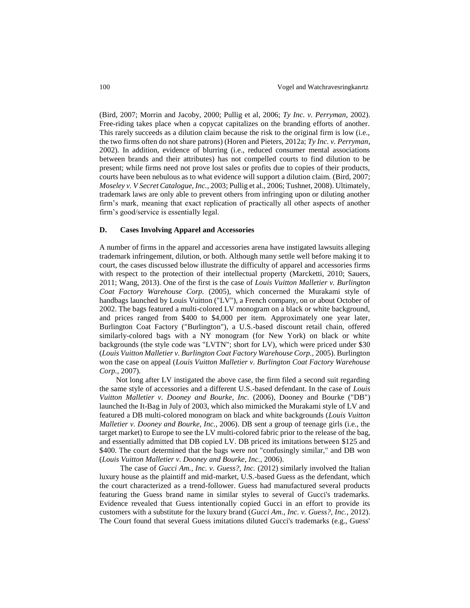(Bird, 2007; Morrin and Jacoby, 2000; Pullig et al, 2006; *Ty Inc. v. Perryman*, 2002). Free-riding takes place when a copycat capitalizes on the branding efforts of another. This rarely succeeds as a dilution claim because the risk to the original firm is low (i.e., the two firms often do not share patrons) (Horen and Pieters, 2012a; *Ty Inc. v. Perryman*, 2002). In addition, evidence of blurring (i.e., reduced consumer mental associations between brands and their attributes) has not compelled courts to find dilution to be present; while firms need not prove lost sales or profits due to copies of their products, courts have been nebulous as to what evidence will support a dilution claim. (Bird, 2007; *Moseley v. V Secret Catalogue, Inc.*, 2003; Pullig et al., 2006; Tushnet, 2008). Ultimately, trademark laws are only able to prevent others from infringing upon or diluting another firm's mark, meaning that exact replication of practically all other aspects of another firm's good/service is essentially legal.

## **D. Cases Involving Apparel and Accessories**

A number of firms in the apparel and accessories arena have instigated lawsuits alleging trademark infringement, dilution, or both. Although many settle well before making it to court, the cases discussed below illustrate the difficulty of apparel and accessories firms with respect to the protection of their intellectual property (Marcketti, 2010; Sauers, 2011; Wang, 2013). One of the first is the case of *Louis Vuitton Malletier v. Burlington Coat Factory Warehouse Corp.* (2005), which concerned the Murakami style of handbags launched by Louis Vuitton ("LV"), a French company, on or about October of 2002. The bags featured a multi-colored LV monogram on a black or white background, and prices ranged from \$400 to \$4,000 per item. Approximately one year later, Burlington Coat Factory ("Burlington"), a U.S.-based discount retail chain, offered similarly-colored bags with a NY monogram (for New York) on black or white backgrounds (the style code was "LVTN"; short for LV), which were priced under \$30 (*Louis Vuitton Malletier v. Burlington Coat Factory Warehouse Corp.,* 2005). Burlington won the case on appeal (*Louis Vuitton Malletier v. Burlington Coat Factory Warehouse Corp.,* 2007).

Not long after LV instigated the above case, the firm filed a second suit regarding the same style of accessories and a different U.S.-based defendant. In the case of *Louis Vuitton Malletier v. Dooney and Bourke, Inc.* (2006), Dooney and Bourke ("DB") launched the It-Bag in July of 2003, which also mimicked the Murakami style of LV and featured a DB multi-colored monogram on black and white backgrounds (*Louis Vuitton Malletier v. Dooney and Bourke, Inc.*, 2006). DB sent a group of teenage girls (i.e., the target market) to Europe to see the LV multi-colored fabric prior to the release of the bag, and essentially admitted that DB copied LV. DB priced its imitations between \$125 and \$400. The court determined that the bags were not "confusingly similar," and DB won (*Louis Vuitton Malletier v. Dooney and Bourke, Inc.*, 2006).

The case of *Gucci Am., Inc. v. Guess?, Inc.* (2012) similarly involved the Italian luxury house as the plaintiff and mid-market, U.S.-based Guess as the defendant, which the court characterized as a trend-follower. Guess had manufactured several products featuring the Guess brand name in similar styles to several of Gucci's trademarks. Evidence revealed that Guess intentionally copied Gucci in an effort to provide its customers with a substitute for the luxury brand (*Gucci Am., Inc. v. Guess?, Inc.*, 2012). The Court found that several Guess imitations diluted Gucci's trademarks (e.g., Guess'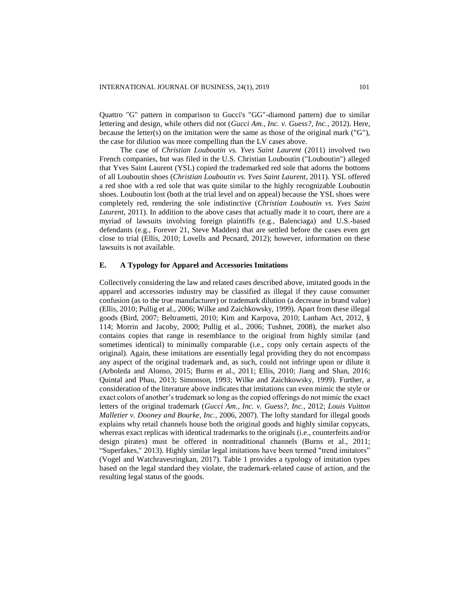Quattro "G" pattern in comparison to Gucci's "GG"-diamond pattern) due to similar lettering and design, while others did not (*Gucci Am., Inc. v. Guess?, Inc.*, 2012). Here, because the letter(s) on the imitation were the same as those of the original mark ("G"), the case for dilution was more compelling than the LV cases above.

The case of *Christian Louboutin vs. Yves Saint Laurent* (2011) involved two French companies, but was filed in the U.S. Christian Louboutin ("Louboutin") alleged that Yves Saint Laurent (YSL) copied the trademarked red sole that adorns the bottoms of all Louboutin shoes (*Christian Louboutin vs. Yves Saint Laurent*, 2011). YSL offered a red shoe with a red sole that was quite similar to the highly recognizable Louboutin shoes. Louboutin lost (both at the trial level and on appeal) because the YSL shoes were completely red, rendering the sole indistinctive (*Christian Louboutin vs. Yves Saint Laurent*, 2011). In addition to the above cases that actually made it to court, there are a myriad of lawsuits involving foreign plaintiffs (e.g., Balenciaga) and U.S.-based defendants (e.g., Forever 21, Steve Madden) that are settled before the cases even get close to trial (Ellis, 2010; Lovells and Pecnard, 2012); however, information on these lawsuits is not available.

## **E. A Typology for Apparel and Accessories Imitations**

Collectively considering the law and related cases described above, imitated goods in the apparel and accessories industry may be classified as illegal if they cause consumer confusion (as to the true manufacturer) or trademark dilution (a decrease in brand value) (Ellis, 2010; Pullig et al., 2006; Wilke and Zaichkowsky, 1999). Apart from these illegal goods (Bird, 2007; Beltrametti, 2010; Kim and Karpova, 2010; Lanham Act, 2012, § 114; Morrin and Jacoby, 2000; Pullig et al., 2006; Tushnet, 2008), the market also contains copies that range in resemblance to the original from highly similar (and sometimes identical) to minimally comparable (i.e., copy only certain aspects of the original). Again, these imitations are essentially legal providing they do not encompass any aspect of the original trademark and, as such, could not infringe upon or dilute it (Arboleda and Alonso, 2015; Burns et al., 2011; Ellis, 2010; Jiang and Shan, 2016; Quintal and Phau, 2013; Simonson, 1993; Wilke and Zaichkowsky, 1999). Further, a consideration of the literature above indicates that imitations can even mimic the style or exact colors of another's trademark so long as the copied offerings do not mimic the exact letters of the original trademark (*Gucci Am., Inc. v. Guess?, Inc.*, 2012; *Louis Vuitton Malletier v. Dooney and Bourke, Inc.*, 2006, 2007). The lofty standard for illegal goods explains why retail channels house both the original goods and highly similar copycats, whereas exact replicas with identical trademarks to the originals (i.e., counterfeits and/or design pirates) must be offered in nontraditional channels (Burns et al., 2011; "Superfakes," 2013). Highly similar legal imitations have been termed "trend imitators" (Vogel and Watchravesringkan, 2017). Table 1 provides a typology of imitation types based on the legal standard they violate, the trademark-related cause of action, and the resulting legal status of the goods.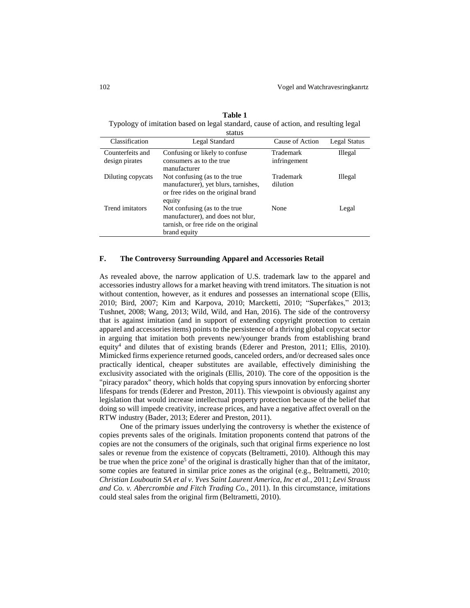**Table 1** Typology of imitation based on legal standard, cause of action, and resulting legal

|                                    | status                                                                                                                      |                           |                |
|------------------------------------|-----------------------------------------------------------------------------------------------------------------------------|---------------------------|----------------|
| Classification                     | Legal Standard                                                                                                              | Cause of Action           | Legal Status   |
| Counterfeits and<br>design pirates | Confusing or likely to confuse<br>consumers as to the true<br>manufacturer                                                  | Trademark<br>infringement | Illegal        |
| Diluting copycats                  | Not confusing (as to the true<br>manufacturer), yet blurs, tarnishes,<br>or free rides on the original brand<br>equity      | Trademark<br>dilution     | <b>Illegal</b> |
| Trend imitators                    | Not confusing (as to the true<br>manufacturer), and does not blur,<br>tarnish, or free ride on the original<br>brand equity | None                      | Legal          |

# **F. The Controversy Surrounding Apparel and Accessories Retail**

As revealed above, the narrow application of U.S. trademark law to the apparel and accessories industry allows for a market heaving with trend imitators. The situation is not without contention, however, as it endures and possesses an international scope (Ellis, 2010; Bird, 2007; Kim and Karpova, 2010; Marcketti, 2010; "Superfakes," 2013; Tushnet, 2008; Wang, 2013; Wild, Wild, and Han, 2016). The side of the controversy that is against imitation (and in support of extending copyright protection to certain apparel and accessories items) points to the persistence of a thriving global copycat sector in arguing that imitation both prevents new/younger brands from establishing brand equity<sup>4</sup> and dilutes that of existing brands (Ederer and Preston, 2011; Ellis, 2010). Mimicked firms experience returned goods, canceled orders, and/or decreased sales once practically identical, cheaper substitutes are available, effectively diminishing the exclusivity associated with the originals (Ellis, 2010). The core of the opposition is the "piracy paradox" theory, which holds that copying spurs innovation by enforcing shorter lifespans for trends (Ederer and Preston, 2011). This viewpoint is obviously against any legislation that would increase intellectual property protection because of the belief that doing so will impede creativity, increase prices, and have a negative affect overall on the RTW industry (Bader, 2013; Ederer and Preston, 2011).

One of the primary issues underlying the controversy is whether the existence of copies prevents sales of the originals. Imitation proponents contend that patrons of the copies are not the consumers of the originals, such that original firms experience no lost sales or revenue from the existence of copycats (Beltrametti, 2010). Although this may be true when the price zone<sup>5</sup> of the original is drastically higher than that of the imitator, some copies are featured in similar price zones as the original (e.g., Beltrametti, 2010; *Christian Louboutin SA et al v. Yves Saint Laurent America, Inc et al.*, 2011; *Levi Strauss and Co. v. Abercrombie and Fitch Trading Co.*, 2011). In this circumstance, imitations could steal sales from the original firm (Beltrametti, 2010).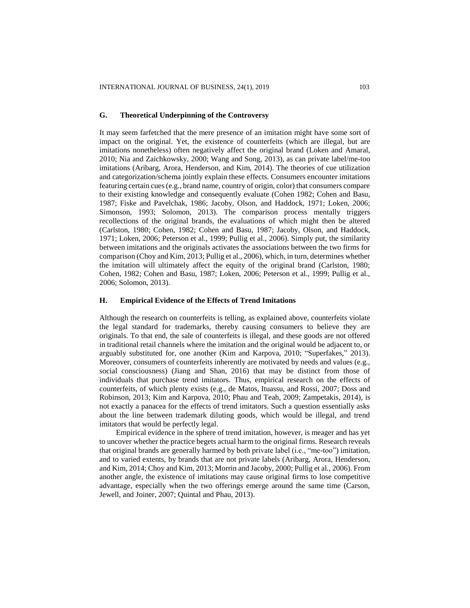#### **G. Theoretical Underpinning of the Controversy**

It may seem farfetched that the mere presence of an imitation might have some sort of impact on the original. Yet, the existence of counterfeits (which are illegal, but are imitations nonetheless) often negatively affect the original brand (Loken and Amaral, 2010; Nia and Zaichkowsky, 2000; Wang and Song, 2013), as can private label/me-too imitations (Aribarg, Arora, Henderson, and Kim, 2014). The theories of cue utilization and categorization/schema jointly explain these effects. Consumers encounter imitations featuring certain cues (e.g., brand name, country of origin, color) that consumers compare to their existing knowledge and consequently evaluate (Cohen 1982; Cohen and Basu, 1987; Fiske and Pavelchak, 1986; Jacoby, Olson, and Haddock, 1971; Loken, 2006; Simonson, 1993; Solomon, 2013). The comparison process mentally triggers recollections of the original brands, the evaluations of which might then be altered (Carlston, 1980; Cohen, 1982; Cohen and Basu, 1987; Jacoby, Olson, and Haddock, 1971; Loken, 2006; Peterson et al., 1999; Pullig et al., 2006). Simply put, the similarity between imitations and the originals activates the associations between the two firms for comparison (Choy and Kim, 2013; Pullig et al., 2006), which, in turn, determines whether the imitation will ultimately affect the equity of the original brand (Carlston, 1980; Cohen, 1982; Cohen and Basu, 1987; Loken, 2006; Peterson et al., 1999; Pullig et al., 2006; Solomon, 2013).

## **H. Empirical Evidence of the Effects of Trend Imitations**

Although the research on counterfeits is telling, as explained above, counterfeits violate the legal standard for trademarks, thereby causing consumers to believe they are originals. To that end, the sale of counterfeits is illegal, and these goods are not offered in traditional retail channels where the imitation and the original would be adjacent to, or arguably substituted for, one another (Kim and Karpova, 2010; "Superfakes," 2013). Moreover, consumers of counterfeits inherently are motivated by needs and values (e.g., social consciousness) (Jiang and Shan, 2016) that may be distinct from those of individuals that purchase trend imitators. Thus, empirical research on the effects of counterfeits, of which plenty exists (e.g., de Matos, Ituassu, and Rossi, 2007; Doss and Robinson, 2013; Kim and Karpova, 2010; Phau and Teah, 2009; Zampetakis, 2014), is not exactly a panacea for the effects of trend imitators. Such a question essentially asks about the line between trademark diluting goods, which would be illegal, and trend imitators that would be perfectly legal.

Empirical evidence in the sphere of trend imitation, however, is meager and has yet to uncover whether the practice begets actual harm to the original firms. Research reveals that original brands are generally harmed by both private label (i.e., "me-too") imitation, and to varied extents, by brands that are not private labels (Aribarg, Arora, Henderson, and Kim, 2014; Choy and Kim, 2013; Morrin and Jacoby, 2000; Pullig et al., 2006). From another angle, the existence of imitations may cause original firms to lose competitive advantage, especially when the two offerings emerge around the same time (Carson, Jewell, and Joiner, 2007; Quintal and Phau, 2013).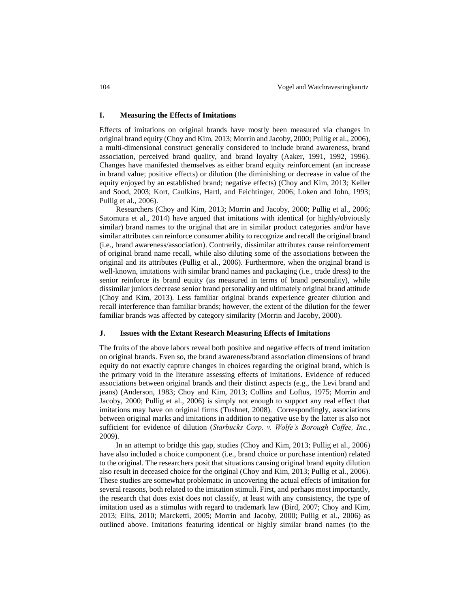## **I. Measuring the Effects of Imitations**

Effects of imitations on original brands have mostly been measured via changes in original brand equity (Choy and Kim, 2013; Morrin and Jacoby, 2000; Pullig et al., 2006), a multi-dimensional construct generally considered to include brand awareness, brand association, perceived brand quality, and brand loyalty (Aaker, 1991, 1992, 1996). Changes have manifested themselves as either brand equity reinforcement (an increase in brand value; positive effects) or dilution (the diminishing or decrease in value of the equity enjoyed by an established brand; negative effects) (Choy and Kim, 2013; Keller and Sood, 2003; Kort, Caulkins, Hartl, and Feichtinger, 2006; Loken and John, 1993; Pullig et al., 2006).

Researchers (Choy and Kim, 2013; Morrin and Jacoby, 2000; Pullig et al., 2006; Satomura et al., 2014) have argued that imitations with identical (or highly/obviously similar) brand names to the original that are in similar product categories and/or have similar attributes can reinforce consumer ability to recognize and recall the original brand (i.e., brand awareness/association). Contrarily, dissimilar attributes cause reinforcement of original brand name recall, while also diluting some of the associations between the original and its attributes (Pullig et al., 2006). Furthermore, when the original brand is well-known, imitations with similar brand names and packaging (i.e., trade dress) to the senior reinforce its brand equity (as measured in terms of brand personality), while dissimilar juniors decrease senior brand personality and ultimately original brand attitude (Choy and Kim, 2013). Less familiar original brands experience greater dilution and recall interference than familiar brands; however, the extent of the dilution for the fewer familiar brands was affected by category similarity (Morrin and Jacoby, 2000).

#### **J. Issues with the Extant Research Measuring Effects of Imitations**

The fruits of the above labors reveal both positive and negative effects of trend imitation on original brands. Even so, the brand awareness/brand association dimensions of brand equity do not exactly capture changes in choices regarding the original brand, which is the primary void in the literature assessing effects of imitations. Evidence of reduced associations between original brands and their distinct aspects (e.g., the Levi brand and jeans) (Anderson, 1983; Choy and Kim, 2013; Collins and Loftus, 1975; Morrin and Jacoby, 2000; Pullig et al., 2006) is simply not enough to support any real effect that imitations may have on original firms (Tushnet, 2008). Correspondingly, associations between original marks and imitations in addition to negative use by the latter is also not sufficient for evidence of dilution (*Starbucks Corp. v. Wolfe's Borough Coffee, Inc.*, 2009).

In an attempt to bridge this gap, studies (Choy and Kim, 2013; Pullig et al., 2006) have also included a choice component (i.e., brand choice or purchase intention) related to the original. The researchers posit that situations causing original brand equity dilution also result in deceased choice for the original (Choy and Kim, 2013; Pullig et al., 2006). These studies are somewhat problematic in uncovering the actual effects of imitation for several reasons, both related to the imitation stimuli. First, and perhaps most importantly, the research that does exist does not classify, at least with any consistency, the type of imitation used as a stimulus with regard to trademark law (Bird, 2007; Choy and Kim, 2013; Ellis, 2010; Marcketti, 2005; Morrin and Jacoby, 2000; Pullig et al., 2006) as outlined above. Imitations featuring identical or highly similar brand names (to the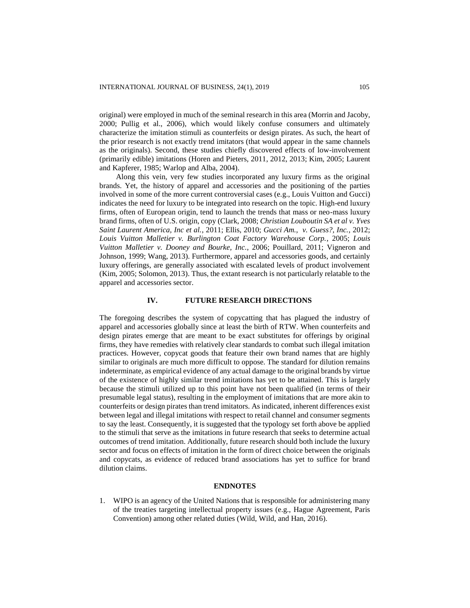original) were employed in much of the seminal research in this area (Morrin and Jacoby, 2000; Pullig et al., 2006), which would likely confuse consumers and ultimately characterize the imitation stimuli as counterfeits or design pirates. As such, the heart of the prior research is not exactly trend imitators (that would appear in the same channels as the originals). Second, these studies chiefly discovered effects of low-involvement (primarily edible) imitations (Horen and Pieters, 2011, 2012, 2013; Kim, 2005; Laurent and Kapferer, 1985; Warlop and Alba, 2004).

Along this vein, very few studies incorporated any luxury firms as the original brands. Yet, the history of apparel and accessories and the positioning of the parties involved in some of the more current controversial cases (e.g., Louis Vuitton and Gucci) indicates the need for luxury to be integrated into research on the topic. High-end luxury firms, often of European origin, tend to launch the trends that mass or neo-mass luxury brand firms, often of U.S. origin, copy (Clark, 2008; *Christian Louboutin SA et al v. Yves Saint Laurent America, Inc et al.*, 2011; Ellis, 2010; *Gucci Am., v. Guess?, Inc.*, 2012; *Louis Vuitton Malletier v. Burlington Coat Factory Warehouse Corp.*, 2005; *Louis Vuitton Malletier v. Dooney and Bourke, Inc.*, 2006; Pouillard, 2011; Vigneron and Johnson, 1999; Wang, 2013). Furthermore, apparel and accessories goods, and certainly luxury offerings, are generally associated with escalated levels of product involvement (Kim, 2005; Solomon, 2013). Thus, the extant research is not particularly relatable to the apparel and accessories sector.

# **IV. FUTURE RESEARCH DIRECTIONS**

The foregoing describes the system of copycatting that has plagued the industry of apparel and accessories globally since at least the birth of RTW. When counterfeits and design pirates emerge that are meant to be exact substitutes for offerings by original firms, they have remedies with relatively clear standards to combat such illegal imitation practices. However, copycat goods that feature their own brand names that are highly similar to originals are much more difficult to oppose. The standard for dilution remains indeterminate, as empirical evidence of any actual damage to the original brands by virtue of the existence of highly similar trend imitations has yet to be attained. This is largely because the stimuli utilized up to this point have not been qualified (in terms of their presumable legal status), resulting in the employment of imitations that are more akin to counterfeits or design pirates than trend imitators. As indicated, inherent differences exist between legal and illegal imitations with respect to retail channel and consumer segments to say the least. Consequently, it is suggested that the typology set forth above be applied to the stimuli that serve as the imitations in future research that seeks to determine actual outcomes of trend imitation. Additionally, future research should both include the luxury sector and focus on effects of imitation in the form of direct choice between the originals and copycats, as evidence of reduced brand associations has yet to suffice for brand dilution claims.

# **ENDNOTES**

1. WIPO is an agency of the United Nations that is responsible for administering many of the treaties targeting intellectual property issues (e.g., Hague Agreement, Paris Convention) among other related duties (Wild, Wild, and Han, 2016).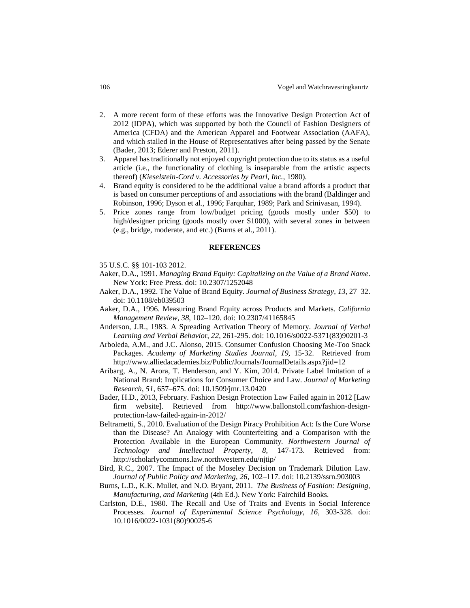- 2. A more recent form of these efforts was the Innovative Design Protection Act of 2012 (IDPA), which was supported by both the Council of Fashion Designers of America (CFDA) and the American Apparel and Footwear Association (AAFA), and which stalled in the House of Representatives after being passed by the Senate [\(Bader,](http://www.civicimpulse.com/) 2013; Ederer and Preston, 2011).
- 3. Apparel has traditionally not enjoyed copyright protection due to its status as a useful article (i.e., the functionality of clothing is inseparable from the artistic aspects thereof) (*Kieselstein-Cord v. Accessories by Pearl, Inc.*, 1980).
- 4. Brand equity is considered to be the additional value a brand affords a product that is based on consumer perceptions of and associations with the brand (Baldinger and Robinson, 1996; Dyson et al., 1996; Farquhar, 1989; Park and Srinivasan, 1994).
- 5. Price zones range from low/budget pricing (goods mostly under \$50) to high/designer pricing (goods mostly over \$1000), with several zones in between (e.g., bridge, moderate, and etc.) (Burns et al., 2011).

#### **REFERENCES**

- 35 U.S.C. §§ 101-103 2012.
- Aaker, D.A., 1991. *Managing Brand Equity: Capitalizing on the Value of a Brand Name*. New York: Free Press. doi: [10.2307/1252048](http://dx.doi.org/10.2307/1252048)
- Aaker, D.A., 1992. The Value of Brand Equity. *Journal of Business Strategy*, *13*, 27–32. doi[: 10.1108/eb039503](http://dx.doi.org/10.1108/eb039503)
- Aaker, D.A., 1996. Measuring Brand Equity across Products and Markets. *California Management Review*, *38*, 102–120. doi: [10.2307/41165845](http://dx.doi.org/10.2307/41165845)
- Anderson, J.R., 1983. A Spreading Activation Theory of Memory. *Journal of Verbal Learning and Verbal Behavio*r, *22*, 261-295. doi[: 10.1016/s0022-5371\(83\)90201-3](http://dx.doi.org/10.1016/s0022-5371%2883%2990201-3)
- Arboleda, A.M., and J.C. Alonso, 2015. Consumer Confusion Choosing Me-Too Snack Packages. *Academy of Marketing Studies Journal*, *19*, 15-32. Retrieved from http://www.alliedacademies.biz/Public/Journals/JournalDetails.aspx?jid=12
- Aribarg, A., N. Arora, T. Henderson, and Y. Kim, 2014. Private Label Imitation of a National Brand: Implications for Consumer Choice and Law. *Journal of Marketing Research*, *51*, 657–675. doi: 10.1509/jmr.13.0420
- Bader, H.D., 2013, February. Fashion Design Protection Law Failed again in 2012 [Law firm website]. Retrieved from [http://www.ballonstoll.com/fashion-design](http://www.ballonstoll.com/fashion-design-protection-law)[protection-law-](http://www.ballonstoll.com/fashion-design-protection-law)failed-again-in-2012/
- Beltrametti, S., 2010. Evaluation of the Design Piracy Prohibition Act: Is the Cure Worse than the Disease? An Analogy with Counterfeiting and a Comparison with the Protection Available in the European Community*. Northwestern Journal of Technology and Intellectual Property*, *8*, 147-173. Retrieved from: http://scholarlycommons.law.northwestern.edu/njtip/
- Bird, R.C., 2007. The Impact of the Moseley Decision on Trademark Dilution Law. *Journal of Public Policy and Marketing*, *26*, 102–117. doi[: 10.2139/ssrn.903003](http://dx.doi.org/10.2139/ssrn.903003)
- Burns, L.D., K.K. Mullet, and N.O. Bryant, 2011. *The Business of Fashion: Designing, Manufacturing, and Marketing* (4th Ed.). New York: Fairchild Books.
- Carlston, D.E., 1980. The Recall and Use of Traits and Events in Social Inference Processes. *Journal of Experimental Science Psychology, 16*, 303-328. doi: 10.1016/0022-1031(80)90025-6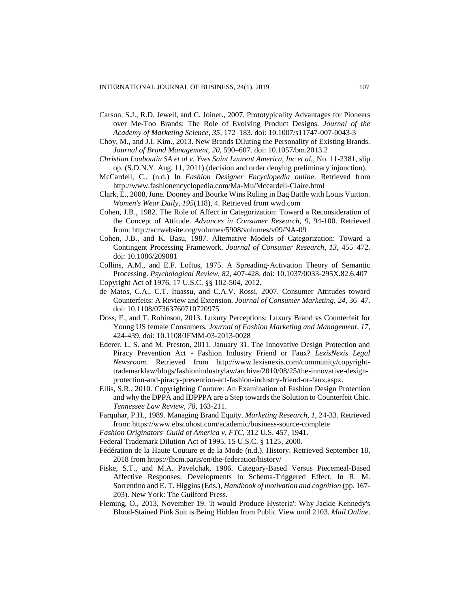- Carson, S.J., R.D. Jewell, and C. Joiner., 2007. Prototypicality Advantages for Pioneers over Me-Too Brands: The Role of Evolving Product Designs. *Journal of the Academy of Marketing Science*, *35*, 172–183. doi: 10.1007/s11747-007-0043-3
- Choy, M., and J.I. Kim., 2013. New Brands Diluting the Personality of Existing Brands. *Journal of Brand Management*, *20*, 590–607. doi: 10.1057/bm.2013.2
- *Christian Louboutin SA et al v. Yves Saint Laurent America, Inc et al.*, No. 11-2381, slip op. (S.D.N.Y. Aug. 11, 2011) (decision and order denying preliminary injunction).
- McCardell, C., (n.d.) In *Fashion Designer Encyclopedia online*. Retrieved from http://www.fashionencyclopedia.com/Ma-Mu/Mccardell-Claire.html
- Clark, E., 2008, June. Dooney and Bourke Wins Ruling in Bag Battle with Louis Vuitton. *Women's Wear Daily*, *195*(118), 4. Retrieved from wwd.com
- Cohen, J.B., 1982. The Role of Affect in Categorization: Toward a Reconsideration of the Concept of Attitude. *Advances in Consumer Research*, *9*, 94-100. Retrieved from:<http://acrwebsite.org/volumes/5908/volumes/v09/NA-09>
- Cohen, J.B., and K. Basu, 1987. Alternative Models of Categorization: Toward a Contingent Processing Framework. *Journal of Consumer Research*, *13*, 455–472. doi: 10.1086/209081
- Collins, A.M., and E.F. Loftus, 1975. A Spreading-Activation Theory of Semantic Processing. *Psychological Review*, *82*, 407-428. doi: 10.1037/0033-295X.82.6.407 Copyright Act of 1976, 17 U.S.C. §§ 102-504, 2012.
- de Matos, C.A., C.T. Ituassu, and C.A.V. Rossi, 2007. Consumer Attitudes toward Counterfeits: A Review and Extension. *Journal of Consumer Marketing*, *24*, 36–47. doi: 10.1108/07363760710720975
- Doss, F., and T. Robinson, 2013. Luxury Perceptions: Luxury Brand vs Counterfeit for Young US female Consumers. *Journal of Fashion Marketing and Management*, *17*, 424-439. doi: 10.1108/JFMM-03-2013-0028
- Ederer, L. S. and M. Preston, 2011, January 31. The Innovative Design Protection and Piracy Prevention Act - Fashion Industry Friend or Faux? *LexisNexis Legal Newsroom*. Retrieved from [http://www.lexisnexis.com/community/copyright](http://www.lexisnexis.com/community/copyright-trademarklaw)[trademarklaw/](http://www.lexisnexis.com/community/copyright-trademarklaw)blogs/fashionindustrylaw/archive/2010/08/25/the-innovative-designprotection-and-piracy-prevention-act-fashion-industry-friend-or-faux.aspx.
- Ellis, S.R., 2010. Copyrighting Couture: An Examination of Fashion Design Protection and why the DPPA and IDPPPA are a Step towards the Solution to Counterfeit Chic. *Tennessee Law Review*, *78*, 163-211.
- Farquhar, P.H., 1989. Managing Brand Equity. *Marketing Research*, *1*, 24-33. Retrieved from: https://www.ebscohost.com/academic/business-source-complete
- *Fashion Originators' Guild of America v. FTC*, 312 U.S. 457, 1941.
- Federal Trademark Dilution Act of 1995, 15 U.S.C. § 1125, 2000.
- Fédération de la Haute Couture et de la Mode (n.d.). History. Retrieved September 18, 2018 from https://fhcm.paris/en/the-federation/history/
- Fiske, S.T., and M.A. Pavelchak, 1986. Category-Based Versus Piecemeal-Based Affective Responses: Developments in Schema-Triggered Effect. In R. M. Sorrentino and E. T. Higgins (Eds.), *Handbook of motivation and cognition* (pp. 167- 203). New York: The Guilford Press.
- Fleming, O., 2013, November 19. 'It would Produce Hysteria': Why Jackie Kennedy's Blood-Stained Pink Suit is Being Hidden from Public View until 2103. *Mail Online*.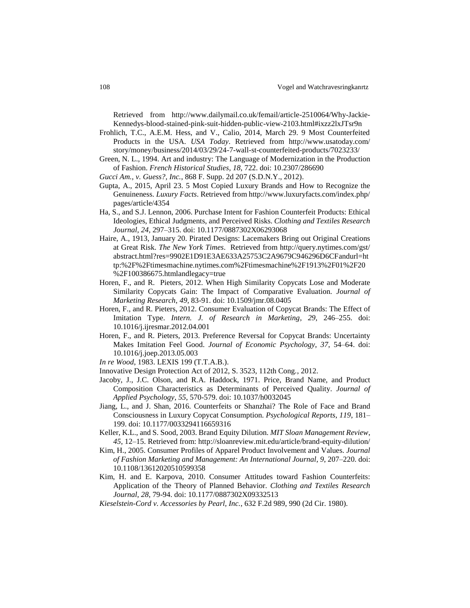Retrieved from [http://www.dailymail.co.uk/femail/article-2510064/Why-Jackie-](http://www.dailymail.co.uk/femail/article-2510064/Why-Jackie-Kennedys-blood-stained-pink-suit-hidden-public-view-2103.html#ixzz2lxJTsr9n)[Kennedys-blood-stained-pink-suit-hidden-public-view-2103.html#ixzz2lxJTsr9n](http://www.dailymail.co.uk/femail/article-2510064/Why-Jackie-Kennedys-blood-stained-pink-suit-hidden-public-view-2103.html#ixzz2lxJTsr9n)

- Frohlich, T.C., A.E.M. Hess, and V., Calio, 2014, March 29. 9 Most Counterfeited Products in the USA. *USA Today*. Retrieved from [http://www.usatoday.com/](http://www.usatoday.com/%20story/money/business/2014/03/29/24-7-wall-st-counterfeited-products/7023233/)  [story/money/business/2014/03/29/24-7-wall-st-counterfeited-products/7023233/](http://www.usatoday.com/%20story/money/business/2014/03/29/24-7-wall-st-counterfeited-products/7023233/)
- Green, N. L., 1994. Art and industry: The Language of Modernization in the Production of Fashion. *French Historical Studies*, *18*, 722. doi: 10.2307/286690
- *Gucci Am., v. Guess?, Inc.*, 868 F. Supp. 2d 207 (S.D.N.Y., 2012).
- Gupta, A., 2015, April 23. 5 Most Copied Luxury Brands and How to Recognize the Genuineness. *Luxury Facts*. Retrieved fro[m http://www.luxuryfacts.com/index.php/](http://www.luxuryfacts.com/index.php/) pages/article/4354
- Ha, S., and S.J. Lennon, 2006. Purchase Intent for Fashion Counterfeit Products: Ethical Ideologies, Ethical Judgments, and Perceived Risks. *Clothing and Textiles Research Journal*, *24*, 297–315. doi: 10.1177/0887302X06293068
- Haire, A., 1913, January 20. Pirated Designs: Lacemakers Bring out Original Creations at Great Risk. *The New York Times*. Retrieved from<http://query.nytimes.com/gst/> abstract.html?res=9902E1D91E3AE633A25753C2A9679C946296D6CFandurl=ht tp:%2F%2Ftimesmachine.nytimes.com%2Ftimesmachine%2F1913%2F01%2F20 %2F100386675.htmlandlegacy=true
- Horen, F., and R. Pieters, 2012. When High Similarity Copycats Lose and Moderate Similarity Copycats Gain: The Impact of Comparative Evaluation. *Journal of Marketing Research*, *49*, 83-91. doi: 10.1509/jmr.08.0405
- Horen, F., and R. Pieters, 2012. Consumer Evaluation of Copycat Brands: The Effect of Imitation Type. *Intern. J. of Research in Marketing*, *29*, 246–255. doi: 10.1016/j.ijresmar.2012.04.001
- Horen, F., and R. Pieters, 2013. Preference Reversal for Copycat Brands: Uncertainty Makes Imitation Feel Good. *Journal of Economic Psychology*, *37*, 54–64. doi: 10.1016/j.joep.2013.05.003
- *In re Wood*, 1983. LEXIS 199 (T.T.A.B.).
- Innovative Design Protection Act of 2012, S. 3523, 112th Cong., 2012.
- Jacoby, J., J.C. Olson, and R.A. Haddock, 1971. Price, Brand Name, and Product Composition Characteristics as Determinants of Perceived Quality. *Journal of Applied Psychology*, *55*, 570-579. doi[: 10.1037/h0032045](http://dx.doi.org.libproxy.uncg.edu/10.1037/h0032045)
- Jiang, L., and J. Shan, 2016. Counterfeits or Shanzhai? The Role of Face and Brand Consciousness in Luxury Copycat Consumption. *Psychological Reports*, *119*, 181– 199. doi: 10.1177/0033294116659316
- Keller, K.L., and S. Sood, 2003. Brand Equity Dilution. *MIT Sloan Management Review*, *45*, 12–15. Retrieved from: http://sloanreview.mit.edu/article/brand-equity-dilution/
- Kim, H., 2005. Consumer Profiles of Apparel Product Involvement and Values. *Journal of Fashion Marketing and Management: An International Journal*, *9*, 207–220. doi: 10.1108/13612020510599358
- Kim, H. and E. Karpova, 2010. Consumer Attitudes toward Fashion Counterfeits: Application of the Theory of Planned Behavior. *Clothing and Textiles Research Journal*, *28*, 79-94. doi: 10.1177/0887302X09332513
- *Kieselstein-Cord v. Accessories by Pearl, Inc.*, 632 F.2d 989, 990 (2d Cir. 1980).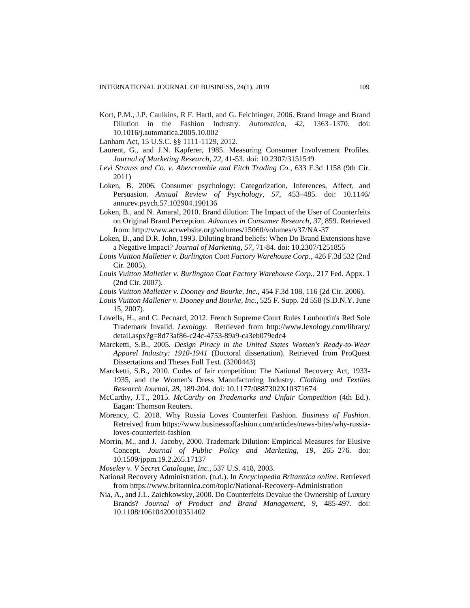Kort, P.M., J.P. Caulkins, R F. Hartl, and G. Feichtinger, 2006. Brand Image and Brand Dilution in the Fashion Industry. *Automatica*, *42*, 1363–1370. doi: 10.1016/j.automatica.2005.10.002

Lanham Act, 15 U.S.C. §§ 1111-1129, 2012.

- Laurent, G., and J.N. Kapferer, 1985. Measuring Consumer Involvement Profiles. *Journal of Marketing Research*, *22*, 41-53. doi: 10.2307/3151549
- *Levi Strauss and Co. v. Abercrombie and Fitch Trading Co.*, 633 F.3d 1158 (9th Cir. 2011)
- Loken, B. 2006. Consumer psychology: Categorization, Inferences, Affect, and Persuasion. *Annual Review of Psychology*, *57*, 453–485. doi: 10.1146/ annurev.psych.57.102904.190136
- Loken, B., and N. Amaral, 2010. Brand dilution: The Impact of the User of Counterfeits on Original Brand Perception. *Advances in Consumer Research*, *37*, 859. Retrieved from: http://www.acrwebsite.org/volumes/15060/volumes/v37/NA-37
- Loken, B., and D.R. John, 1993. Diluting brand beliefs: When Do Brand Extensions have a Negative Impact? *Journal of Marketing*, *57*, 71-84. doi: 10.2307/1251855
- *Louis Vuitton Malletier v. Burlington Coat Factory Warehouse Corp.*, 426 F.3d 532 (2nd Cir. 2005).
- *Louis Vuitton Malletier v. Burlington Coat Factory Warehouse Corp.*, 217 Fed. Appx. 1 (2nd Cir. 2007).
- *Louis Vuitton Malletier v. Dooney and Bourke, Inc.*, 454 F.3d 108, 116 (2d Cir. 2006).
- *Louis Vuitton Malletier v. Dooney and Bourke, Inc.*, 525 F. Supp. 2d 558 (S.D.N.Y. June 15, 2007).
- Lovells, H., and C. Pecnard, 2012. French Supreme Court Rules Louboutin's Red Sole Trademark Invalid. *Lexology*. Retrieved from<http://www.lexology.com/library/> detail.aspx?g=8d73af86-c24c-4753-89a9-ca3eb079edc4
- Marcketti, S.B., 2005. *Design Piracy in the United States Women's Ready-to-Wear Apparel Industry: 1910-1941* (Doctoral dissertation). Retrieved from ProQuest Dissertations and Theses Full Text. (3200443)
- Marcketti, S.B., 2010. Codes of fair competition: The National Recovery Act, 1933- 1935, and the Women's Dress Manufacturing Industry. *Clothing and Textiles Research Journal*, *28*, 189-204. doi: 10.1177/0887302X10371674
- McCarthy, J.T., 2015. *McCarthy on Trademarks and Unfair Competition* (4th Ed.). Eagan: Thomson Reuters.
- Morency, C. 2018. Why Russia Loves Counterfeit Fashion. *Business of Fashion*. Retreived from https://www.businessoffashion.com/articles/news-bites/why-russialoves-counterfeit-fashion
- Morrin, M., and J. Jacoby, 2000. Trademark Dilution: Empirical Measures for Elusive Concept. *Journal of Public Policy and Marketing*, *19*, 265–276. doi: 10.1509/jppm.19.2.265.17137

*Moseley v. V Secret Catalogue, Inc.*, 537 U.S. 418, 2003.

- National Recovery Administration. (n.d.). In *Encyclopedia Britannica online*. Retrieved from https://www.britannica.com/topic/National-Recovery-Administration
- Nia, A., and J.L. Zaichkowsky, 2000. Do Counterfeits Devalue the Ownership of Luxury Brands? *Journal of Product and Brand Management*, *9*, 485-497. doi: 10.1108/10610420010351402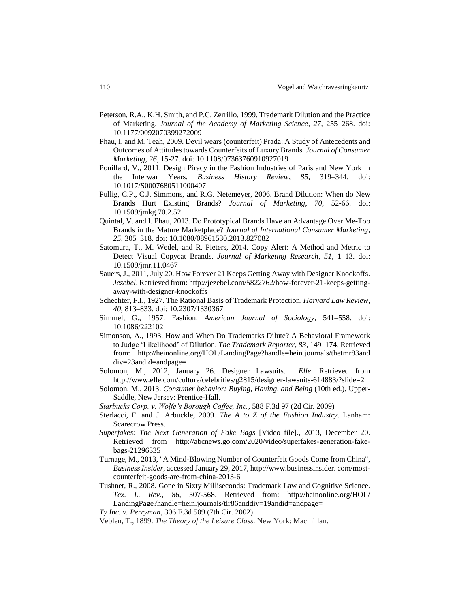- Peterson, R.A., K.H. Smith, and P.C. Zerrillo, 1999. Trademark Dilution and the Practice of Marketing. *Journal of the Academy of Marketing Science*, *27*, 255–268. doi: 10.1177/0092070399272009
- Phau, I. and M. Teah, 2009. Devil wears (counterfeit) Prada: A Study of Antecedents and Outcomes of Attitudes towards Counterfeits of Luxury Brands. *Journal of Consumer Marketing*, *26*, 15-27. doi: 10.1108/07363760910927019
- Pouillard, V., 2011. Design Piracy in the Fashion Industries of Paris and New York in the Interwar Years. *Business History Review*, *85*, 319–344. doi: 10.1017/S0007680511000407
- Pullig, C.P., C.J. Simmons, and R.G. Netemeyer, 2006. Brand Dilution: When do New Brands Hurt Existing Brands? *Journal of Marketing*, *70*, 52-66. doi: 10.1509/jmkg.70.2.52
- Quintal, V. and I. Phau, 2013. Do Prototypical Brands Have an Advantage Over Me-Too Brands in the Mature Marketplace? *Journal of International Consumer Marketing*, *25*, 305–318. doi: 10.1080/08961530.2013.827082
- Satomura, T., M. Wedel, and R. Pieters, 2014. Copy Alert: A Method and Metric to Detect Visual Copycat Brands. *Journal of Marketing Research*, *51*, 1–13. doi: 10.1509/jmr.11.0467
- Sauers, J., 2011, July 20. [How Forever 21 Keeps Getting Away with Designer Knockoffs.](http://jezebel.com/5822762/how-forever-21-keeps-getting-away-with-designer-knockoffs) *Jezebel*. Retrieved from: http://jezebel.com/5822762/how-forever-21-keeps-gettingaway-with-designer-knockoffs
- Schechter, F.I., 1927. The Rational Basis of Trademark Protection. *Harvard Law Review*, *40*, 813–833. doi: 10.2307/1330367
- Simmel, G., 1957. Fashion. *American Journal of Sociology*, 541–558. doi: 10.1086/222102
- Simonson, A., 1993. How and When Do Trademarks Dilute? A Behavioral Framework to Judge 'Likelihood' of Dilution. *The Trademark Reporter*, *83*, 149–174. Retrieved from: [http://heinonline.org/HOL/LandingPage?handle=hein.journals/thetmr83a](http://heinonline.org/HOL/LandingPage?handle=hein.journals/thetmr83)nd div=23andid=andpage=
- Solomon, M., 2012, January 26. Designer Lawsuits. *Elle*. Retrieved from http://www.elle.com/culture/celebrities/g2815/designer-lawsuits-614883/?slide=2
- Solomon, M., 2013. *Consumer behavior: Buying, Having, and Being* (10th ed.). Upper-Saddle, New Jersey: Prentice-Hall.
- *Starbucks Corp. v. Wolfe's Borough Coffee, Inc.*, 588 F.3d 97 (2d Cir. 2009)
- Sterlacci, F. and J. Arbuckle, 2009. *The A to Z of the Fashion Industry*. Lanham: Scarecrow Press.
- *Superfakes: The Next Generation of Fake Bags* [Video file]., 2013, December 20. Retrieved from [http://abcnews.go.com/2020/video/superfakes-generation-fake](http://abcnews.go.com/2020/video/superfakes-generation-fake-bags-21296335)[bags-21296335](http://abcnews.go.com/2020/video/superfakes-generation-fake-bags-21296335)
- Turnage, M., 2013, "A Mind-Blowing Number of Counterfeit Goods Come from China", *Business Insider*, accessed January 29, 2017[, http://www.businessinsider.](http://www.businessinsider/) com/mostcounterfeit-goods-are-from-china-2013-6
- Tushnet, R., 2008. Gone in Sixty Milliseconds: Trademark Law and Cognitive Science. *Tex. L. Rev.*, *86*, 507-568. Retrieved from: <http://heinonline.org/HOL/> LandingPage?handle=hein.journals/tlr86anddiv=19andid=andpage= *Ty Inc. v. Perryman*, 306 F.3d 509 (7th Cir. 2002).
- Veblen, T., 1899. *The Theory of the Leisure Class*. New York: Macmillan.